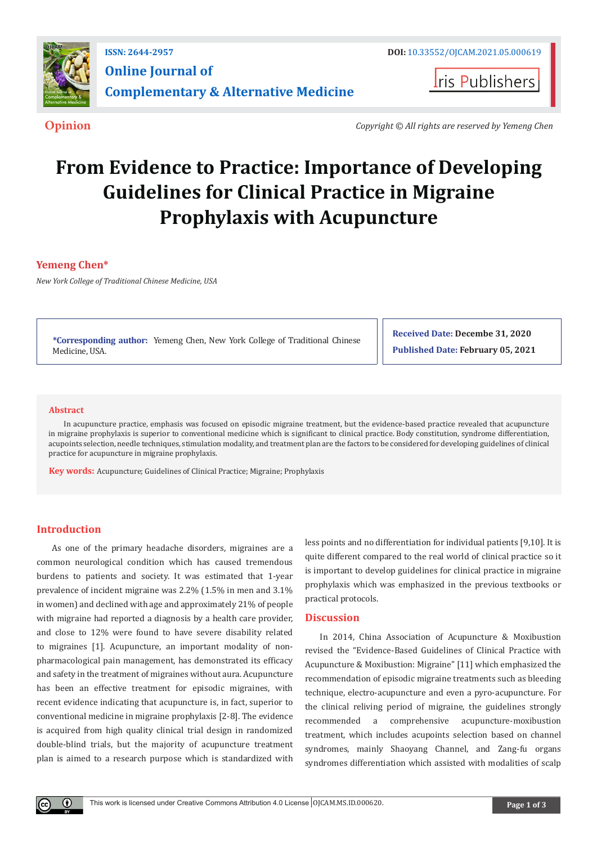

**Iris Publishers** 

**Opinion** *Copyright © All rights are reserved by Yemeng Chen*

# **From Evidence to Practice: Importance of Developing Guidelines for Clinical Practice in Migraine Prophylaxis with Acupuncture**

# **Yemeng Chen\***

*New York College of Traditional Chinese Medicine, USA*

**\*Corresponding author:** Yemeng Chen, New York College of Traditional Chinese Medicine, USA.

**Received Date: Decembe 31, 2020 Published Date: February 05, 2021**

## **Abstract**

In acupuncture practice, emphasis was focused on episodic migraine treatment, but the evidence-based practice revealed that acupuncture in migraine prophylaxis is superior to conventional medicine which is significant to clinical practice. Body constitution, syndrome differentiation, acupoints selection, needle techniques, stimulation modality, and treatment plan are the factors to be considered for developing guidelines of clinical practice for acupuncture in migraine prophylaxis.

**Key words:** Acupuncture; Guidelines of Clinical Practice; Migraine; Prophylaxis

## **Introduction**

 $\bf{0}$ 

As one of the primary headache disorders, migraines are a common neurological condition which has caused tremendous burdens to patients and society. It was estimated that 1-year prevalence of incident migraine was 2.2% (1.5% in men and 3.1% in women) and declined with age and approximately 21% of people with migraine had reported a diagnosis by a health care provider, and close to 12% were found to have severe disability related to migraines [1]. Acupuncture, an important modality of nonpharmacological pain management, has demonstrated its efficacy and safety in the treatment of migraines without aura. Acupuncture has been an effective treatment for episodic migraines, with recent evidence indicating that acupuncture is, in fact, superior to conventional medicine in migraine prophylaxis [2-8]. The evidence is acquired from high quality clinical trial design in randomized double-blind trials, but the majority of acupuncture treatment plan is aimed to a research purpose which is standardized with

less points and no differentiation for individual patients [9,10]. It is quite different compared to the real world of clinical practice so it is important to develop guidelines for clinical practice in migraine prophylaxis which was emphasized in the previous textbooks or practical protocols.

## **Discussion**

In 2014, China Association of Acupuncture & Moxibustion revised the "Evidence-Based Guidelines of Clinical Practice with Acupuncture & Moxibustion: Migraine" [11] which emphasized the recommendation of episodic migraine treatments such as bleeding technique, electro-acupuncture and even a pyro-acupuncture. For the clinical reliving period of migraine, the guidelines strongly recommended a comprehensive acupuncture-moxibustion treatment, which includes acupoints selection based on channel syndromes, mainly Shaoyang Channel, and Zang-fu organs syndromes differentiation which assisted with modalities of scalp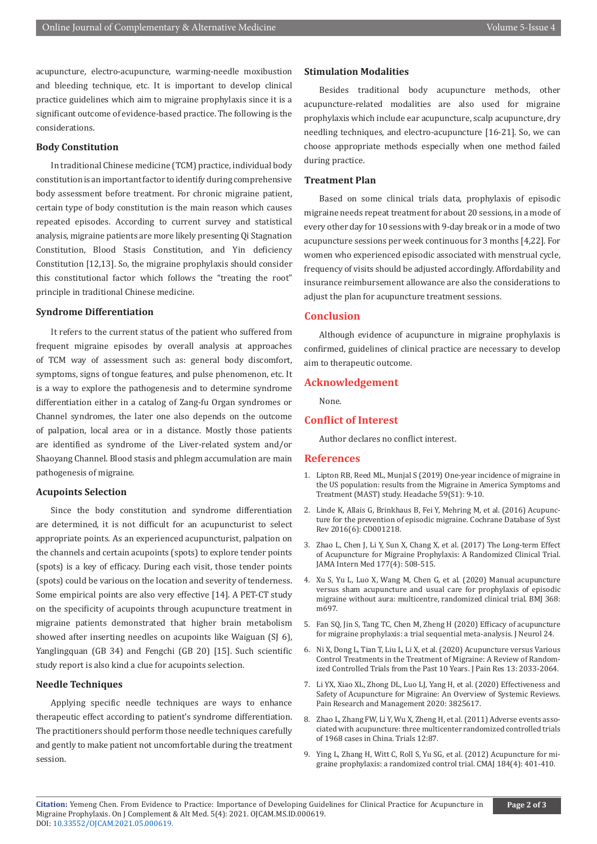acupuncture, electro-acupuncture, warming-needle moxibustion and bleeding technique, etc. It is important to develop clinical practice guidelines which aim to migraine prophylaxis since it is a significant outcome of evidence-based practice. The following is the considerations.

## **Body Constitution**

In traditional Chinese medicine (TCM) practice, individual body constitution is an important factor to identify during comprehensive body assessment before treatment. For chronic migraine patient, certain type of body constitution is the main reason which causes repeated episodes. According to current survey and statistical analysis, migraine patients are more likely presenting Qi Stagnation Constitution, Blood Stasis Constitution, and Yin deficiency Constitution [12,13]. So, the migraine prophylaxis should consider this constitutional factor which follows the "treating the root" principle in traditional Chinese medicine.

### **Syndrome Differentiation**

It refers to the current status of the patient who suffered from frequent migraine episodes by overall analysis at approaches of TCM way of assessment such as: general body discomfort, symptoms, signs of tongue features, and pulse phenomenon, etc. It is a way to explore the pathogenesis and to determine syndrome differentiation either in a catalog of Zang-fu Organ syndromes or Channel syndromes, the later one also depends on the outcome of palpation, local area or in a distance. Mostly those patients are identified as syndrome of the Liver-related system and/or Shaoyang Channel. Blood stasis and phlegm accumulation are main pathogenesis of migraine.

## **Acupoints Selection**

Since the body constitution and syndrome differentiation are determined, it is not difficult for an acupuncturist to select appropriate points. As an experienced acupuncturist, palpation on the channels and certain acupoints (spots) to explore tender points (spots) is a key of efficacy. During each visit, those tender points (spots) could be various on the location and severity of tenderness. Some empirical points are also very effective [14]. A PET-CT study on the specificity of acupoints through acupuncture treatment in migraine patients demonstrated that higher brain metabolism showed after inserting needles on acupoints like Waiguan (SJ 6), Yanglingquan (GB 34) and Fengchi (GB 20) [15]. Such scientific study report is also kind a clue for acupoints selection.

## **Needle Techniques**

Applying specific needle techniques are ways to enhance therapeutic effect according to patient's syndrome differentiation. The practitioners should perform those needle techniques carefully and gently to make patient not uncomfortable during the treatment session.

### **Stimulation Modalities**

Besides traditional body acupuncture methods, other acupuncture-related modalities are also used for migraine prophylaxis which include ear acupuncture, scalp acupuncture, dry needling techniques, and electro-acupuncture [16-21]. So, we can choose appropriate methods especially when one method failed during practice.

## **Treatment Plan**

Based on some clinical trials data, prophylaxis of episodic migraine needs repeat treatment for about 20 sessions, in a mode of every other day for 10 sessions with 9-day break or in a mode of two acupuncture sessions per week continuous for 3 months [4,22]. For women who experienced episodic associated with menstrual cycle, frequency of visits should be adjusted accordingly. Affordability and insurance reimbursement allowance are also the considerations to adjust the plan for acupuncture treatment sessions.

#### **Conclusion**

Although evidence of acupuncture in migraine prophylaxis is confirmed, guidelines of clinical practice are necessary to develop aim to therapeutic outcome.

## **Acknowledgement**

None.

#### **Conflict of Interest**

Author declares no conflict interest.

#### **References**

- 1. Lipton RB, Reed ML, Munjal S (2019) One-year incidence of migraine in the US population: results from the Migraine in America Symptoms and Treatment (MAST) study. Headache 59(S1): 9-10.
- 2. [Linde K, Allais G, Brinkhaus B, Fei Y, Mehring M, et al. \(2016\) Acupunc](https://pubmed.ncbi.nlm.nih.gov/27351677/)[ture for the prevention of episodic migraine. Cochrane Database of Syst](https://pubmed.ncbi.nlm.nih.gov/27351677/) [Rev 2016\(6\): CD001218.](https://pubmed.ncbi.nlm.nih.gov/27351677/)
- 3. [Zhao L, Chen J, Li Y, Sun X, Chang X, et al. \(2017\) The Long-term Effect](https://pubmed.ncbi.nlm.nih.gov/28241154/) [of Acupuncture for Migraine Prophylaxis: A Randomized Clinical Trial.](https://pubmed.ncbi.nlm.nih.gov/28241154/) [JAMA Intern Med 177\(4\): 508-515.](https://pubmed.ncbi.nlm.nih.gov/28241154/)
- 4. [Xu S, Yu L, Luo X, Wang M, Chen G, et al. \(2020\) Manual acupuncture](https://pubmed.ncbi.nlm.nih.gov/32213509/) [versus sham acupuncture and usual care for prophylaxis of episodic](https://pubmed.ncbi.nlm.nih.gov/32213509/) [migraine without aura: multicentre, randomized clinical trial. BMJ 368:](https://pubmed.ncbi.nlm.nih.gov/32213509/) [m697.](https://pubmed.ncbi.nlm.nih.gov/32213509/)
- 5. [Fan SQ, Jin S, Tang TC, Chen M, Zheng H \(2020\) Efficacy of acupuncture](https://pubmed.ncbi.nlm.nih.gov/32839839/) [for migraine prophylaxis: a trial sequential meta-analysis. J Neurol 24.](https://pubmed.ncbi.nlm.nih.gov/32839839/)
- 6. [Ni X, Dong L, Tian T, Liu L, Li X, et al. \(2020\) Acupuncture versus Various](https://pubmed.ncbi.nlm.nih.gov/32884332/) [Control Treatments in the Treatment of Migraine: A Review of Random](https://pubmed.ncbi.nlm.nih.gov/32884332/)[ized Controlled Trials from the Past 10 Years. J Pain Res 13: 2033-2064.](https://pubmed.ncbi.nlm.nih.gov/32884332/)
- 7. [Li YX, Xiao XL, Zhong DL, Luo LJ, Yang H, et al. \(2020\) Effectiveness and](https://www.hindawi.com/journals/prm/2020/3825617/) [Safety of Acupuncture for Migraine: An Overview of Systemic Reviews.](https://www.hindawi.com/journals/prm/2020/3825617/) [Pain Research and Management 2020: 3825617.](https://www.hindawi.com/journals/prm/2020/3825617/)
- 8. [Zhao L, Zhang FW, Li Y, Wu X, Zheng H, et al. \(2011\) Adverse events asso](https://pubmed.ncbi.nlm.nih.gov/21435214/)[ciated with acupuncture: three multicenter randomized controlled trials](https://pubmed.ncbi.nlm.nih.gov/21435214/) [of 1968 cases in China. Trials 12:87.](https://pubmed.ncbi.nlm.nih.gov/21435214/)
- 9. [Ying L, Zhang H, Witt C, Roll S, Yu SG, et al. \(2012\) Acupuncture for mi](https://pubmed.ncbi.nlm.nih.gov/22231691/)[graine prophylaxis: a randomized control trial. CMAJ 184\(4\): 401-410.](https://pubmed.ncbi.nlm.nih.gov/22231691/)